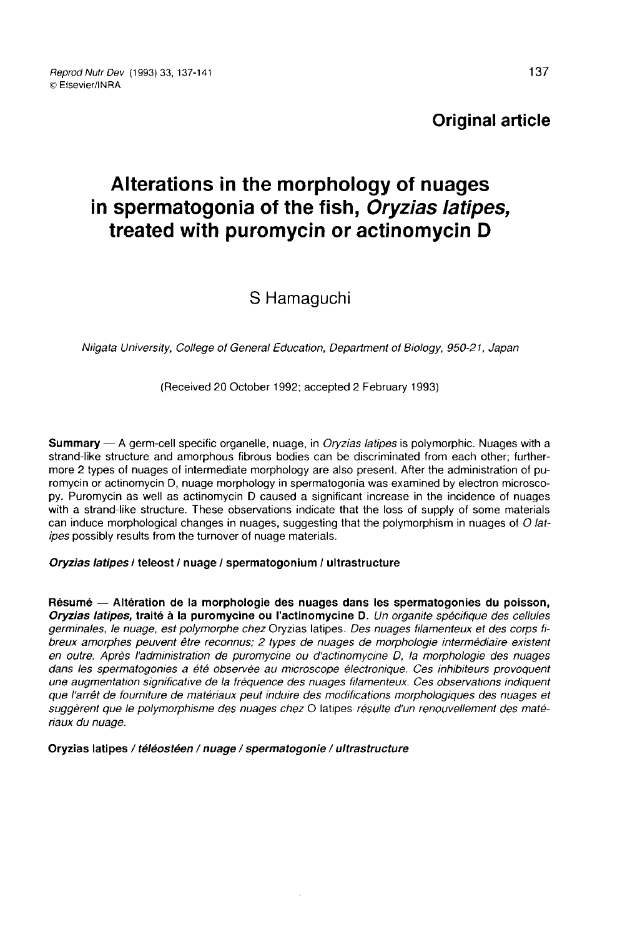### Original article

# Alterations in the morphology of nuages in spermatogonia of the fish, Oryzias latipes, treated with puromycin or actinomycin D

## S Hamaguchi

Niigata University, College of General Education, Department ol Biology, 950-21, Japan

(Received 20 October 1992; accepted 2 February 1993)

Summary — A germ-cell specific organelle, nuage, in *Oryzias latipes* is polymorphic. Nuages with a strand-like structure and amorphous fibrous bodies can be discriminated from each other; furthermore 2 types of nuages of intermediate morphology are also present. After the administration of puromycin or actinomycin D, nuage morphology in spermatogonia was examined by electron microscopy. Puromycin as well as actinomycin D caused a significant increase in the incidence of nuages with a strand-like structure. These observations indicate that the loss of supply of some materials can induce morphological changes in nuages, suggesting that the polymorphism in nuages of O latipes possibly results from the turnover of nuage materials.

#### Oryzias latipes / teleost / nuage / spermatogonium / ultrastructure

Résumé ― Altération de la morphologie des nuages dans les spermatogonies du poisson, Oryzias latipes, traité à la puromycine ou l'actinomycine D. Un organite spécifique des cellules germinales, le nuage, est polymorphe chez Oryzias latipes. Des nuages filamenteux et des corps fibreux amorphes peuvent être reconnus; 2 types de nuages de morphologie intermédiaire existent en outre. Après l'administration de puromycine ou d'actinomycine D, la morphologie des nuages dans les spermatogonies a été observée au microscope électronique. Ces inhibiteurs provoquent une augmentation significative de la fréquence des nuages filamenteux. Ces observations indiquent que l'arrêt de fourniture de matériaux peut induire des modifications morphologiques des nuages et suggèrent que le polymorphisme des nuages chez O latipes résulte d'un renouvellement des matériaux du nuage.

Oryzias latipes / téléostéen / nuage / spermatogonie / ultrastructure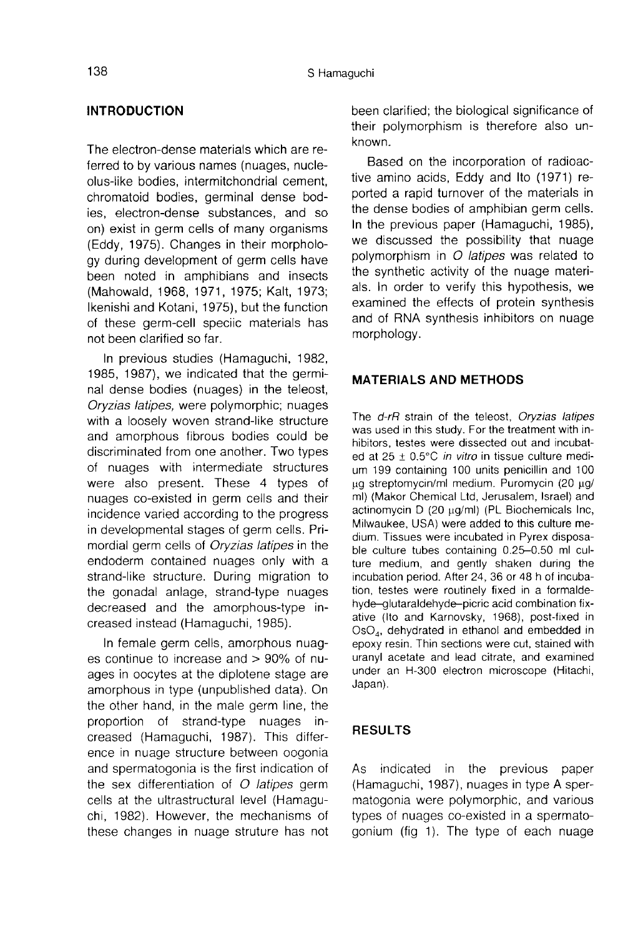#### INTRODUCTION

The electron-dense materials which are referred to by various names (nuages, nucleolus-like bodies, intermitchondrial cement, chromatoid bodies, germinal dense bodies, electron-dense substances, and so on) exist in germ cells of many organisms (Eddy, 1975). Changes in their morphology during development of germ cells have been noted in amphibians and insects (Mahowald, 1968, 1971, 1975; Kalt, 1973; Ikenishi and Kotani, 1975), but the function of these germ-cell speciic materials has not been clarified so far.

In previous studies (Hamaguchi, 1982, 1985, 1987), we indicated that the germinal dense bodies (nuages) in the teleost, Oryzias latipes, were polymorphic; nuages with a loosely woven strand-like structure and amorphous fibrous bodies could be discriminated from one another. Two types of nuages with intermediate structures were also present. These 4 types of nuages co-existed in germ cells and their incidence varied according to the progress in developmental stages of germ cells. Primordial germ cells of Oryzias latipes in the endoderm contained nuages only with a strand-like structure. During migration to the gonadal aniage, strand-type nuages decreased and the amorphous-type increased instead (Hamaguchi, 1985).

In female germ cells, amorphous nuages continue to increase and > 90% of nuages in oocytes at the diplotene stage are amorphous in type (unpublished data). On the other hand, in the male germ line, the proportion of strand-type nuages increased (Hamaguchi, 1987). This difference in nuage structure between oogonia and spermatogonia is the first indication of the sex differentiation of  $O$  latipes germ cells at the ultrastructural level (Hamaguchi, 1982). However, the mechanisms of these changes in nuage struture has not been clarified; the biological significance of their polymorphism is therefore also unknown.

Based on the incorporation of radioactive amino acids, Eddy and Ito (1971) reported a rapid turnover of the materials in the dense bodies of amphibian germ cells. In the previous paper (Hamaguchi, 1985), we discussed the possibility that nuage polymorphism in O latipes was related to the synthetic activity of the nuage materials. In order to verify this hypothesis, we examined the effects of protein synthesis and of RNA synthesis inhibitors on nuage morphology.

#### MATERIALS AND METHODS

The d-rR strain of the teleost, Oryzias latipes was used in this study. For the treatment with inhibitors, testes were dissected out and incubated at  $25 \pm 0.5^{\circ}$ C *in vitro* in tissue culture medium 199 containing 100 units penicillin and 100  $\mu$ g streptomycin/ml medium. Puromycin (20  $\mu$ g/ ml) (Makor Chemical Ltd, Jerusalem, Israel) and actinomycin  $D$  (20  $\mu$ g/ml) (PL Biochemicals Inc, Milwaukee, USA) were added to this culture medium. Tissues were incubated in Pyrex disposable culture tubes containing 0.25-0.50 ml culture medium, and gently shaken during the incubation period. After 24, 36 or 48 h of incubation, testes were routinely fixed in a formaldehyde-glutaraldehyde-picric acid combination fixative (Ito and Karnovsky, 1968), post-fixed in hyde–glutaraldehyde–picric acid combination fix-<br>ative (Ito and Karnovsky, 1968), post-fixed in<br>OsO<sub>4</sub>, dehydrated in ethanol and embedded in<br>epoxy resin Thin sections were cut, stained with epoxy resin. Thin sections were cut, stained with uranyl acetate and lead citrate, and examined under an H-300 electron microscope (Hitachi, Japan).

#### RESULTS

As indicated in the previous paper (Hamaguchi, 1987), nuages in type A spermatogonia were polymorphic, and various types of nuages co-existed in a spermatogonium (fig 1). The type of each nuage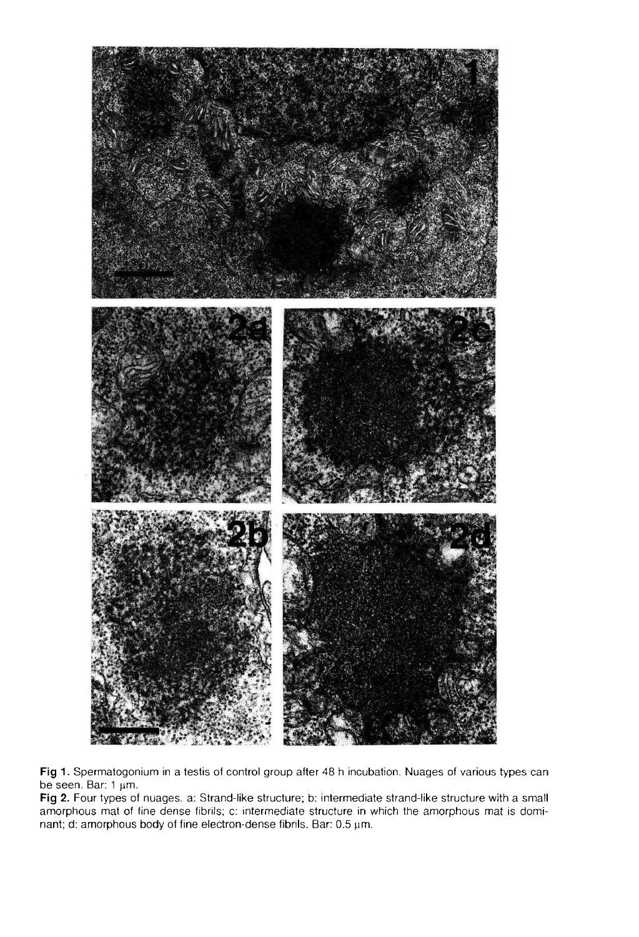

Fig 1. Spermatogonium in a testis of control group after 48 h incubation. Nuages of various types can be seen. Bar: 1 µm.

Fig 2. Four types of nuages. a: Strand-like structure; b: intermediate strand-like structure with a small amorphous mat of fine dense fibrils; c: intermediate structure in which the amorphous mat is dominant; d: amorphous body of fine electron-dense fibrils. Bar: 0.5 um.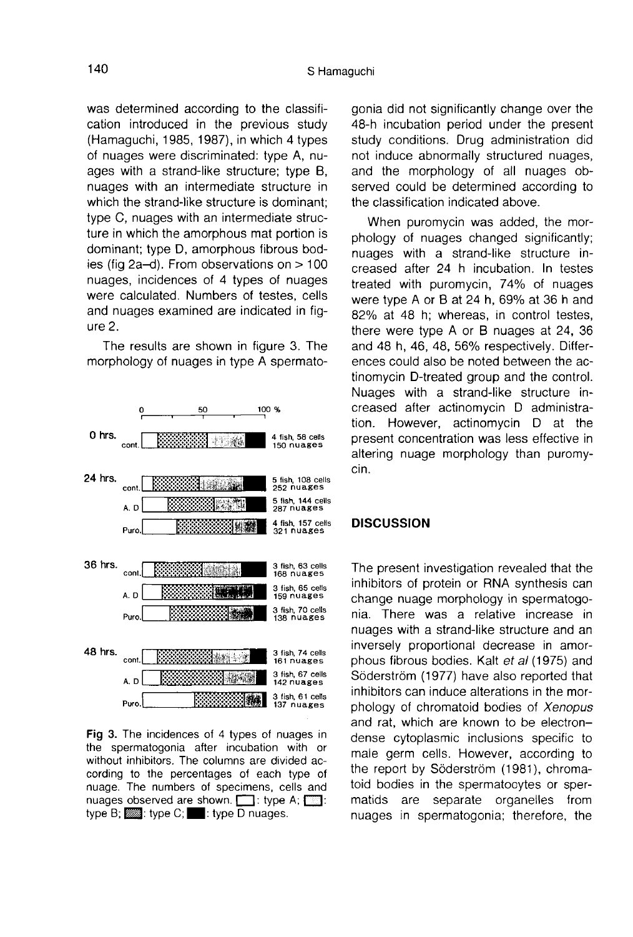was determined according to the classification introduced in the previous study (Hamaguchi, 1985, 1987), in which 4 types of nuages were discriminated: type A, nuages with a strand-like structure; type B, nuages with an intermediate structure in which the strand-like structure is dominant; type C, nuages with an intermediate structure in which the amorphous mat portion is dominant; type D, amorphous fibrous bodies (fig 2a-d). From observations on > 100 nuages, incidences of 4 types of nuages were calculated. Numbers of testes, cells and nuages examined are indicated in fig ure 2.

The results are shown in figure 3. The morphology of nuages in type A spermato-



Fig 3. The incidences of 4 types of nuages in the spermatogonia after incubation with or without inhibitors. The columns are divided according to the percentages of each type of nuage. The numbers of specimens, cells and nuages observed are shown. [1]: type A; [23]: type B;  $\frac{1}{2}$ : type C;  $\frac{1}{2}$ : type D nuages.

gonia did not significantly change over the 48-h incubation period under the present study conditions. Drug administration did not induce abnormally structured nuages, and the morphology of all nuages observed could be determined according to the classification indicated above.

When puromycin was added, the morphology of nuages changed significantly; nuages with a strand-like structure increased after 24 h incubation. In testes treated with puromycin, 74% of nuages were type A or B at 24 h, 69% at 36 h and 82% at 48 h; whereas, in control testes, there were type A or B nuages at 24, 36 and 48 h, 46, 48, 56% respectively. Differences could also be noted between the actinomycin D-treated group and the control. Nuages with a strand-like structure increased after actinomycin D administration. However, actinomycin D at the present concentration was less effective in altering nuage morphology than puromycin.

#### **DISCUSSION**

The present investigation revealed that the inhibitors of protein or RNA synthesis can change nuage morphology in spermatogonia. There was a relative increase in nuages with a strand-like structure and an inversely proportional decrease in amorphous fibrous bodies. Kalt et al (1975) and Söderström (1977) have also reported that inhibitors can induce alterations in the morphology of chromatoid bodies of Xenopus and rat, which are known to be electrondense cytoplasmic inclusions specific to male germ cells. However, according to the report by Söderström (1981), chromatoid bodies in the spermatocytes or spermatids are separate organelles from nuages in spermatogonia; therefore, the